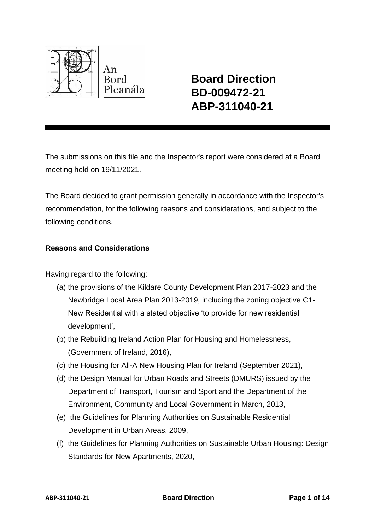

**Board Direction BD-009472-21 ABP-311040-21**

The submissions on this file and the Inspector's report were considered at a Board meeting held on 19/11/2021.

The Board decided to grant permission generally in accordance with the Inspector's recommendation, for the following reasons and considerations, and subject to the following conditions.

## **Reasons and Considerations**

Having regard to the following:

- (a) the provisions of the Kildare County Development Plan 2017-2023 and the Newbridge Local Area Plan 2013-2019, including the zoning objective C1- New Residential with a stated objective 'to provide for new residential development',
- (b) the Rebuilding Ireland Action Plan for Housing and Homelessness, (Government of Ireland, 2016),
- (c) the Housing for All-A New Housing Plan for Ireland (September 2021),
- (d) the Design Manual for Urban Roads and Streets (DMURS) issued by the Department of Transport, Tourism and Sport and the Department of the Environment, Community and Local Government in March, 2013,
- (e) the Guidelines for Planning Authorities on Sustainable Residential Development in Urban Areas, 2009,
- (f) the Guidelines for Planning Authorities on Sustainable Urban Housing: Design Standards for New Apartments, 2020,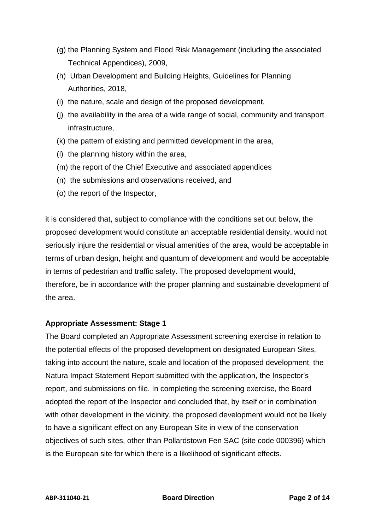- (g) the Planning System and Flood Risk Management (including the associated Technical Appendices), 2009,
- (h) Urban Development and Building Heights, Guidelines for Planning Authorities, 2018,
- (i) the nature, scale and design of the proposed development,
- (j) the availability in the area of a wide range of social, community and transport infrastructure,
- (k) the pattern of existing and permitted development in the area,
- (l) the planning history within the area,
- (m) the report of the Chief Executive and associated appendices
- (n) the submissions and observations received, and
- (o) the report of the Inspector,

it is considered that, subject to compliance with the conditions set out below, the proposed development would constitute an acceptable residential density, would not seriously injure the residential or visual amenities of the area, would be acceptable in terms of urban design, height and quantum of development and would be acceptable in terms of pedestrian and traffic safety. The proposed development would, therefore, be in accordance with the proper planning and sustainable development of the area.

#### **Appropriate Assessment: Stage 1**

The Board completed an Appropriate Assessment screening exercise in relation to the potential effects of the proposed development on designated European Sites, taking into account the nature, scale and location of the proposed development, the Natura Impact Statement Report submitted with the application, the Inspector's report, and submissions on file. In completing the screening exercise, the Board adopted the report of the Inspector and concluded that, by itself or in combination with other development in the vicinity, the proposed development would not be likely to have a significant effect on any European Site in view of the conservation objectives of such sites, other than Pollardstown Fen SAC (site code 000396) which is the European site for which there is a likelihood of significant effects.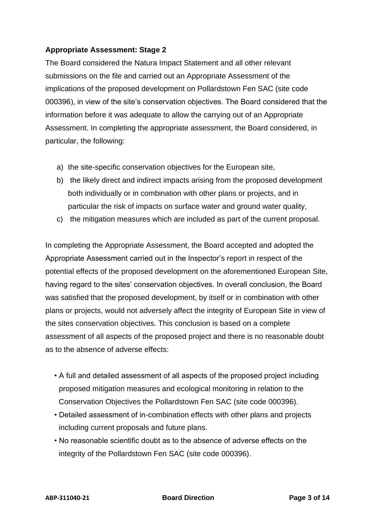# **Appropriate Assessment: Stage 2**

The Board considered the Natura Impact Statement and all other relevant submissions on the file and carried out an Appropriate Assessment of the implications of the proposed development on Pollardstown Fen SAC (site code 000396), in view of the site's conservation objectives. The Board considered that the information before it was adequate to allow the carrying out of an Appropriate Assessment. In completing the appropriate assessment, the Board considered, in particular, the following:

- a) the site-specific conservation objectives for the European site,
- b) the likely direct and indirect impacts arising from the proposed development both individually or in combination with other plans or projects, and in particular the risk of impacts on surface water and ground water quality,
- c) the mitigation measures which are included as part of the current proposal.

In completing the Appropriate Assessment, the Board accepted and adopted the Appropriate Assessment carried out in the Inspector's report in respect of the potential effects of the proposed development on the aforementioned European Site, having regard to the sites' conservation objectives. In overall conclusion, the Board was satisfied that the proposed development, by itself or in combination with other plans or projects, would not adversely affect the integrity of European Site in view of the sites conservation objectives. This conclusion is based on a complete assessment of all aspects of the proposed project and there is no reasonable doubt as to the absence of adverse effects:

- A full and detailed assessment of all aspects of the proposed project including proposed mitigation measures and ecological monitoring in relation to the Conservation Objectives the Pollardstown Fen SAC (site code 000396).
- Detailed assessment of in-combination effects with other plans and projects including current proposals and future plans.
- No reasonable scientific doubt as to the absence of adverse effects on the integrity of the Pollardstown Fen SAC (site code 000396).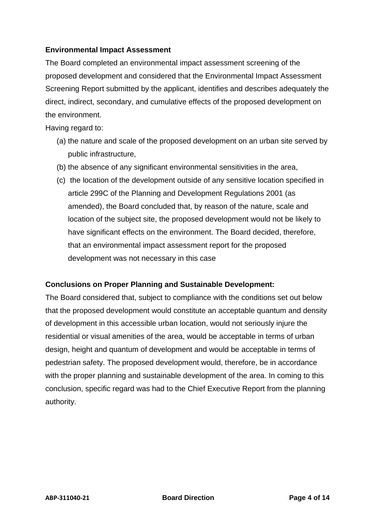## **Environmental Impact Assessment**

The Board completed an environmental impact assessment screening of the proposed development and considered that the Environmental Impact Assessment Screening Report submitted by the applicant, identifies and describes adequately the direct, indirect, secondary, and cumulative effects of the proposed development on the environment.

Having regard to:

- (a) the nature and scale of the proposed development on an urban site served by public infrastructure,
- (b) the absence of any significant environmental sensitivities in the area,
- (c) the location of the development outside of any sensitive location specified in article 299C of the Planning and Development Regulations 2001 (as amended), the Board concluded that, by reason of the nature, scale and location of the subject site, the proposed development would not be likely to have significant effects on the environment. The Board decided, therefore, that an environmental impact assessment report for the proposed development was not necessary in this case

## **Conclusions on Proper Planning and Sustainable Development:**

The Board considered that, subject to compliance with the conditions set out below that the proposed development would constitute an acceptable quantum and density of development in this accessible urban location, would not seriously injure the residential or visual amenities of the area, would be acceptable in terms of urban design, height and quantum of development and would be acceptable in terms of pedestrian safety. The proposed development would, therefore, be in accordance with the proper planning and sustainable development of the area. In coming to this conclusion, specific regard was had to the Chief Executive Report from the planning authority.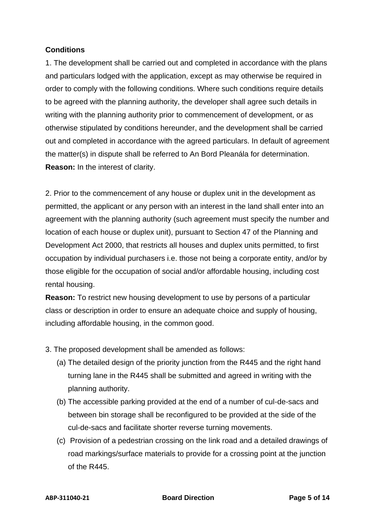## **Conditions**

1. The development shall be carried out and completed in accordance with the plans and particulars lodged with the application, except as may otherwise be required in order to comply with the following conditions. Where such conditions require details to be agreed with the planning authority, the developer shall agree such details in writing with the planning authority prior to commencement of development, or as otherwise stipulated by conditions hereunder, and the development shall be carried out and completed in accordance with the agreed particulars. In default of agreement the matter(s) in dispute shall be referred to An Bord Pleanála for determination. **Reason:** In the interest of clarity.

2. Prior to the commencement of any house or duplex unit in the development as permitted, the applicant or any person with an interest in the land shall enter into an agreement with the planning authority (such agreement must specify the number and location of each house or duplex unit), pursuant to Section 47 of the Planning and Development Act 2000, that restricts all houses and duplex units permitted, to first occupation by individual purchasers i.e. those not being a corporate entity, and/or by those eligible for the occupation of social and/or affordable housing, including cost rental housing.

**Reason:** To restrict new housing development to use by persons of a particular class or description in order to ensure an adequate choice and supply of housing, including affordable housing, in the common good.

- 3. The proposed development shall be amended as follows:
	- (a) The detailed design of the priority junction from the R445 and the right hand turning lane in the R445 shall be submitted and agreed in writing with the planning authority.
	- (b) The accessible parking provided at the end of a number of cul-de-sacs and between bin storage shall be reconfigured to be provided at the side of the cul-de-sacs and facilitate shorter reverse turning movements.
	- (c) Provision of a pedestrian crossing on the link road and a detailed drawings of road markings/surface materials to provide for a crossing point at the junction of the R445.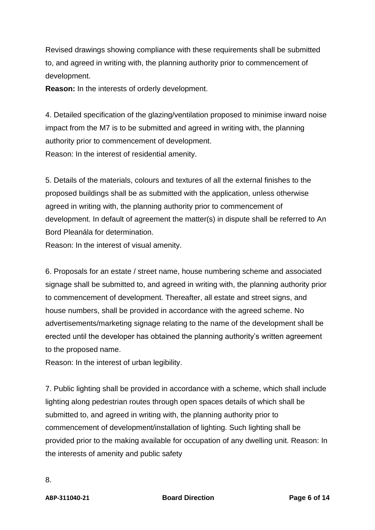Revised drawings showing compliance with these requirements shall be submitted to, and agreed in writing with, the planning authority prior to commencement of development.

**Reason:** In the interests of orderly development.

4. Detailed specification of the glazing/ventilation proposed to minimise inward noise impact from the M7 is to be submitted and agreed in writing with, the planning authority prior to commencement of development. Reason: In the interest of residential amenity.

5. Details of the materials, colours and textures of all the external finishes to the proposed buildings shall be as submitted with the application, unless otherwise agreed in writing with, the planning authority prior to commencement of development. In default of agreement the matter(s) in dispute shall be referred to An Bord Pleanála for determination.

Reason: In the interest of visual amenity.

6. Proposals for an estate / street name, house numbering scheme and associated signage shall be submitted to, and agreed in writing with, the planning authority prior to commencement of development. Thereafter, all estate and street signs, and house numbers, shall be provided in accordance with the agreed scheme. No advertisements/marketing signage relating to the name of the development shall be erected until the developer has obtained the planning authority's written agreement to the proposed name.

Reason: In the interest of urban legibility.

7. Public lighting shall be provided in accordance with a scheme, which shall include lighting along pedestrian routes through open spaces details of which shall be submitted to, and agreed in writing with, the planning authority prior to commencement of development/installation of lighting. Such lighting shall be provided prior to the making available for occupation of any dwelling unit. Reason: In the interests of amenity and public safety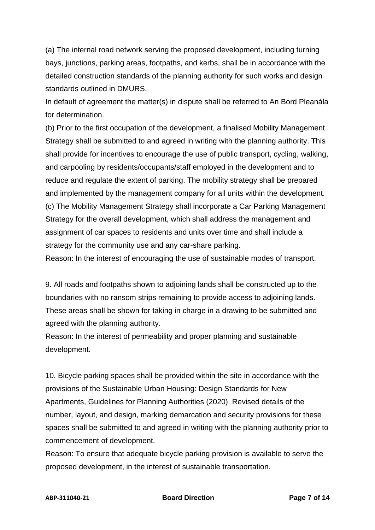(a) The internal road network serving the proposed development, including turning bays, junctions, parking areas, footpaths, and kerbs, shall be in accordance with the detailed construction standards of the planning authority for such works and design standards outlined in DMURS.

In default of agreement the matter(s) in dispute shall be referred to An Bord Pleanála for determination.

(b) Prior to the first occupation of the development, a finalised Mobility Management Strategy shall be submitted to and agreed in writing with the planning authority. This shall provide for incentives to encourage the use of public transport, cycling, walking, and carpooling by residents/occupants/staff employed in the development and to reduce and regulate the extent of parking. The mobility strategy shall be prepared and implemented by the management company for all units within the development. (c) The Mobility Management Strategy shall incorporate a Car Parking Management Strategy for the overall development, which shall address the management and assignment of car spaces to residents and units over time and shall include a strategy for the community use and any car-share parking.

Reason: In the interest of encouraging the use of sustainable modes of transport.

9. All roads and footpaths shown to adjoining lands shall be constructed up to the boundaries with no ransom strips remaining to provide access to adjoining lands. These areas shall be shown for taking in charge in a drawing to be submitted and agreed with the planning authority.

Reason: In the interest of permeability and proper planning and sustainable development.

10. Bicycle parking spaces shall be provided within the site in accordance with the provisions of the Sustainable Urban Housing: Design Standards for New Apartments, Guidelines for Planning Authorities (2020). Revised details of the number, layout, and design, marking demarcation and security provisions for these spaces shall be submitted to and agreed in writing with the planning authority prior to commencement of development.

Reason: To ensure that adequate bicycle parking provision is available to serve the proposed development, in the interest of sustainable transportation.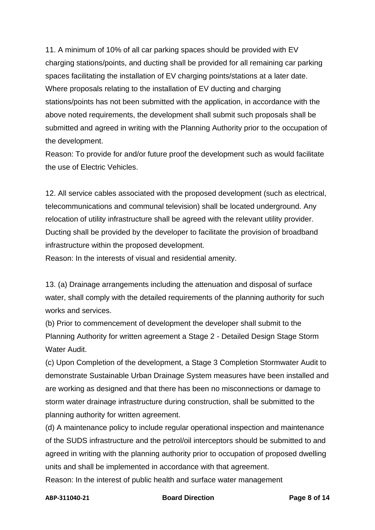11. A minimum of 10% of all car parking spaces should be provided with EV charging stations/points, and ducting shall be provided for all remaining car parking spaces facilitating the installation of EV charging points/stations at a later date. Where proposals relating to the installation of EV ducting and charging stations/points has not been submitted with the application, in accordance with the above noted requirements, the development shall submit such proposals shall be submitted and agreed in writing with the Planning Authority prior to the occupation of the development.

Reason: To provide for and/or future proof the development such as would facilitate the use of Electric Vehicles.

12. All service cables associated with the proposed development (such as electrical, telecommunications and communal television) shall be located underground. Any relocation of utility infrastructure shall be agreed with the relevant utility provider. Ducting shall be provided by the developer to facilitate the provision of broadband infrastructure within the proposed development.

Reason: In the interests of visual and residential amenity.

13. (a) Drainage arrangements including the attenuation and disposal of surface water, shall comply with the detailed requirements of the planning authority for such works and services.

(b) Prior to commencement of development the developer shall submit to the Planning Authority for written agreement a Stage 2 - Detailed Design Stage Storm Water Audit.

(c) Upon Completion of the development, a Stage 3 Completion Stormwater Audit to demonstrate Sustainable Urban Drainage System measures have been installed and are working as designed and that there has been no misconnections or damage to storm water drainage infrastructure during construction, shall be submitted to the planning authority for written agreement.

(d) A maintenance policy to include regular operational inspection and maintenance of the SUDS infrastructure and the petrol/oil interceptors should be submitted to and agreed in writing with the planning authority prior to occupation of proposed dwelling units and shall be implemented in accordance with that agreement.

Reason: In the interest of public health and surface water management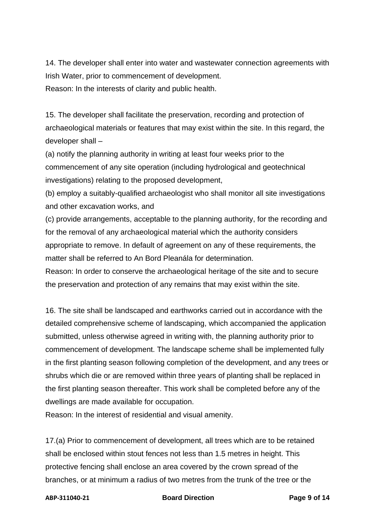14. The developer shall enter into water and wastewater connection agreements with Irish Water, prior to commencement of development.

Reason: In the interests of clarity and public health.

15. The developer shall facilitate the preservation, recording and protection of archaeological materials or features that may exist within the site. In this regard, the developer shall –

(a) notify the planning authority in writing at least four weeks prior to the commencement of any site operation (including hydrological and geotechnical investigations) relating to the proposed development,

(b) employ a suitably-qualified archaeologist who shall monitor all site investigations and other excavation works, and

(c) provide arrangements, acceptable to the planning authority, for the recording and for the removal of any archaeological material which the authority considers appropriate to remove. In default of agreement on any of these requirements, the matter shall be referred to An Bord Pleanála for determination.

Reason: In order to conserve the archaeological heritage of the site and to secure the preservation and protection of any remains that may exist within the site.

16. The site shall be landscaped and earthworks carried out in accordance with the detailed comprehensive scheme of landscaping, which accompanied the application submitted, unless otherwise agreed in writing with, the planning authority prior to commencement of development. The landscape scheme shall be implemented fully in the first planting season following completion of the development, and any trees or shrubs which die or are removed within three years of planting shall be replaced in the first planting season thereafter. This work shall be completed before any of the dwellings are made available for occupation.

Reason: In the interest of residential and visual amenity.

17.(a) Prior to commencement of development, all trees which are to be retained shall be enclosed within stout fences not less than 1.5 metres in height. This protective fencing shall enclose an area covered by the crown spread of the branches, or at minimum a radius of two metres from the trunk of the tree or the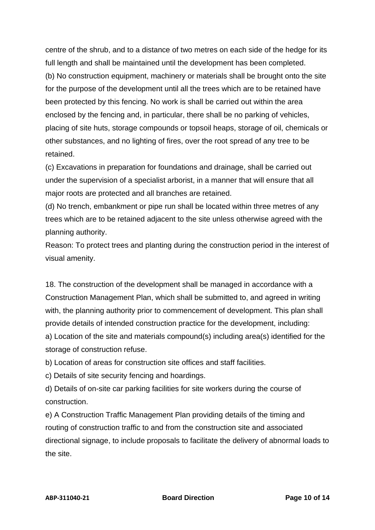centre of the shrub, and to a distance of two metres on each side of the hedge for its full length and shall be maintained until the development has been completed. (b) No construction equipment, machinery or materials shall be brought onto the site for the purpose of the development until all the trees which are to be retained have been protected by this fencing. No work is shall be carried out within the area enclosed by the fencing and, in particular, there shall be no parking of vehicles, placing of site huts, storage compounds or topsoil heaps, storage of oil, chemicals or other substances, and no lighting of fires, over the root spread of any tree to be retained.

(c) Excavations in preparation for foundations and drainage, shall be carried out under the supervision of a specialist arborist, in a manner that will ensure that all major roots are protected and all branches are retained.

(d) No trench, embankment or pipe run shall be located within three metres of any trees which are to be retained adjacent to the site unless otherwise agreed with the planning authority.

Reason: To protect trees and planting during the construction period in the interest of visual amenity.

18. The construction of the development shall be managed in accordance with a Construction Management Plan, which shall be submitted to, and agreed in writing with, the planning authority prior to commencement of development. This plan shall provide details of intended construction practice for the development, including: a) Location of the site and materials compound(s) including area(s) identified for the storage of construction refuse.

b) Location of areas for construction site offices and staff facilities.

c) Details of site security fencing and hoardings.

d) Details of on-site car parking facilities for site workers during the course of construction.

e) A Construction Traffic Management Plan providing details of the timing and routing of construction traffic to and from the construction site and associated directional signage, to include proposals to facilitate the delivery of abnormal loads to the site.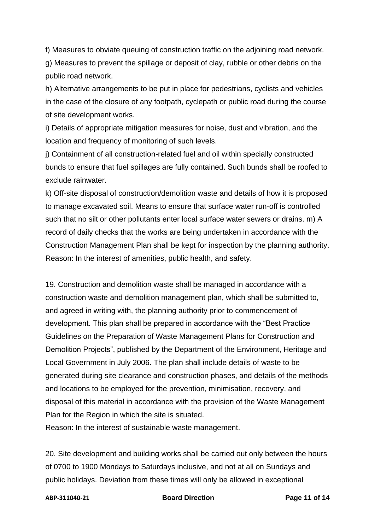f) Measures to obviate queuing of construction traffic on the adjoining road network. g) Measures to prevent the spillage or deposit of clay, rubble or other debris on the public road network.

h) Alternative arrangements to be put in place for pedestrians, cyclists and vehicles in the case of the closure of any footpath, cyclepath or public road during the course of site development works.

i) Details of appropriate mitigation measures for noise, dust and vibration, and the location and frequency of monitoring of such levels.

j) Containment of all construction-related fuel and oil within specially constructed bunds to ensure that fuel spillages are fully contained. Such bunds shall be roofed to exclude rainwater.

k) Off-site disposal of construction/demolition waste and details of how it is proposed to manage excavated soil. Means to ensure that surface water run-off is controlled such that no silt or other pollutants enter local surface water sewers or drains. m) A record of daily checks that the works are being undertaken in accordance with the Construction Management Plan shall be kept for inspection by the planning authority. Reason: In the interest of amenities, public health, and safety.

19. Construction and demolition waste shall be managed in accordance with a construction waste and demolition management plan, which shall be submitted to, and agreed in writing with, the planning authority prior to commencement of development. This plan shall be prepared in accordance with the "Best Practice Guidelines on the Preparation of Waste Management Plans for Construction and Demolition Projects", published by the Department of the Environment, Heritage and Local Government in July 2006. The plan shall include details of waste to be generated during site clearance and construction phases, and details of the methods and locations to be employed for the prevention, minimisation, recovery, and disposal of this material in accordance with the provision of the Waste Management Plan for the Region in which the site is situated.

Reason: In the interest of sustainable waste management.

20. Site development and building works shall be carried out only between the hours of 0700 to 1900 Mondays to Saturdays inclusive, and not at all on Sundays and public holidays. Deviation from these times will only be allowed in exceptional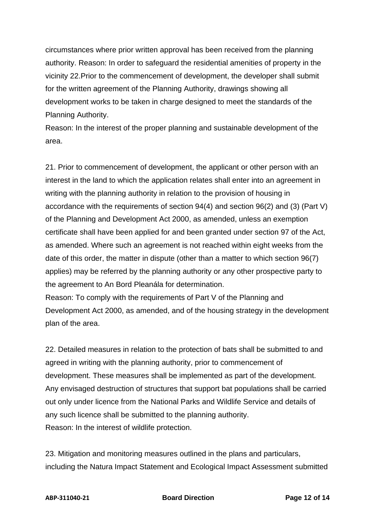circumstances where prior written approval has been received from the planning authority. Reason: In order to safeguard the residential amenities of property in the vicinity 22.Prior to the commencement of development, the developer shall submit for the written agreement of the Planning Authority, drawings showing all development works to be taken in charge designed to meet the standards of the Planning Authority.

Reason: In the interest of the proper planning and sustainable development of the area.

21. Prior to commencement of development, the applicant or other person with an interest in the land to which the application relates shall enter into an agreement in writing with the planning authority in relation to the provision of housing in accordance with the requirements of section 94(4) and section 96(2) and (3) (Part V) of the Planning and Development Act 2000, as amended, unless an exemption certificate shall have been applied for and been granted under section 97 of the Act, as amended. Where such an agreement is not reached within eight weeks from the date of this order, the matter in dispute (other than a matter to which section 96(7) applies) may be referred by the planning authority or any other prospective party to the agreement to An Bord Pleanála for determination.

Reason: To comply with the requirements of Part V of the Planning and Development Act 2000, as amended, and of the housing strategy in the development plan of the area.

22. Detailed measures in relation to the protection of bats shall be submitted to and agreed in writing with the planning authority, prior to commencement of development. These measures shall be implemented as part of the development. Any envisaged destruction of structures that support bat populations shall be carried out only under licence from the National Parks and Wildlife Service and details of any such licence shall be submitted to the planning authority. Reason: In the interest of wildlife protection.

23. Mitigation and monitoring measures outlined in the plans and particulars, including the Natura Impact Statement and Ecological Impact Assessment submitted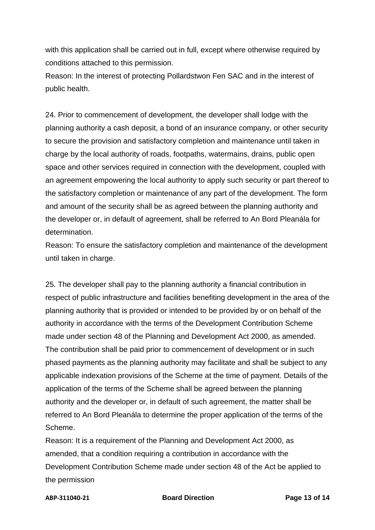with this application shall be carried out in full, except where otherwise required by conditions attached to this permission.

Reason: In the interest of protecting Pollardstwon Fen SAC and in the interest of public health.

24. Prior to commencement of development, the developer shall lodge with the planning authority a cash deposit, a bond of an insurance company, or other security to secure the provision and satisfactory completion and maintenance until taken in charge by the local authority of roads, footpaths, watermains, drains, public open space and other services required in connection with the development, coupled with an agreement empowering the local authority to apply such security or part thereof to the satisfactory completion or maintenance of any part of the development. The form and amount of the security shall be as agreed between the planning authority and the developer or, in default of agreement, shall be referred to An Bord Pleanála for determination.

Reason: To ensure the satisfactory completion and maintenance of the development until taken in charge.

25. The developer shall pay to the planning authority a financial contribution in respect of public infrastructure and facilities benefiting development in the area of the planning authority that is provided or intended to be provided by or on behalf of the authority in accordance with the terms of the Development Contribution Scheme made under section 48 of the Planning and Development Act 2000, as amended. The contribution shall be paid prior to commencement of development or in such phased payments as the planning authority may facilitate and shall be subject to any applicable indexation provisions of the Scheme at the time of payment. Details of the application of the terms of the Scheme shall be agreed between the planning authority and the developer or, in default of such agreement, the matter shall be referred to An Bord Pleanála to determine the proper application of the terms of the Scheme.

Reason: It is a requirement of the Planning and Development Act 2000, as amended, that a condition requiring a contribution in accordance with the Development Contribution Scheme made under section 48 of the Act be applied to the permission

#### **ABP-311040-21 Board Direction Page 13 of 14**